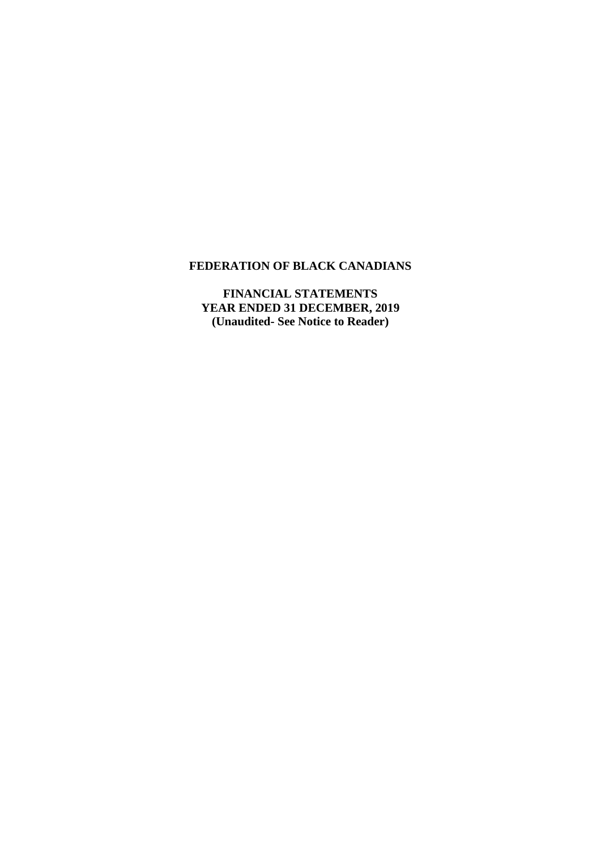# **FEDERATION OF BLACK CANADIANS**

**FINANCIAL STATEMENTS YEAR ENDED 31 DECEMBER, 2019 (Unaudited- See Notice to Reader)**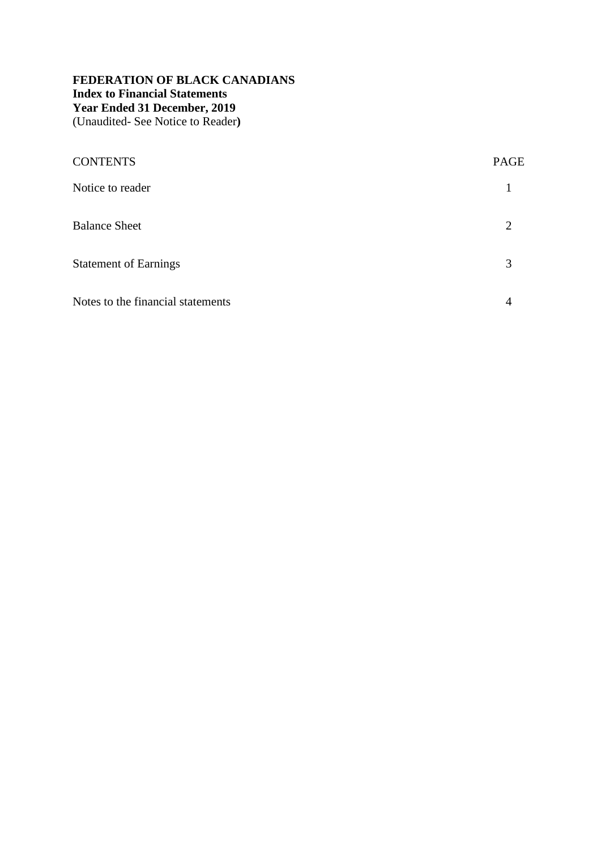# **FEDERATION OF BLACK CANADIANS Index to Financial Statements Year Ended 31 December, 2019** (Unaudited- See Notice to Reader**)**

| <b>CONTENTS</b>                   | <b>PAGE</b>    |
|-----------------------------------|----------------|
| Notice to reader                  |                |
| <b>Balance Sheet</b>              | $\overline{2}$ |
| <b>Statement of Earnings</b>      | 3              |
| Notes to the financial statements | 4              |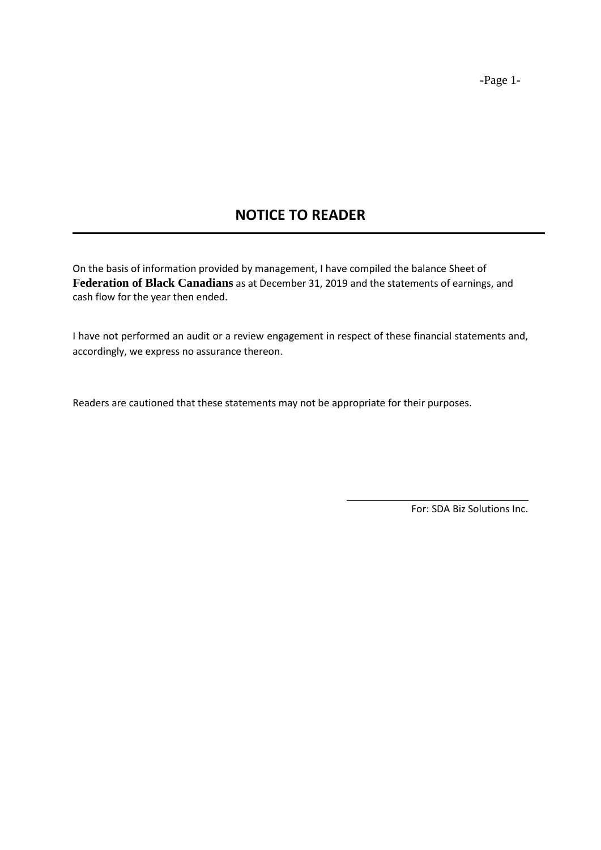# **NOTICE TO READER**

On the basis of information provided by management, I have compiled the balance Sheet of **Federation of Black Canadians** as at December 31, 2019 and the statements of earnings, and cash flow for the year then ended.

I have not performed an audit or a review engagement in respect of these financial statements and, accordingly, we express no assurance thereon.

Readers are cautioned that these statements may not be appropriate for their purposes.

For: SDA Biz Solutions Inc.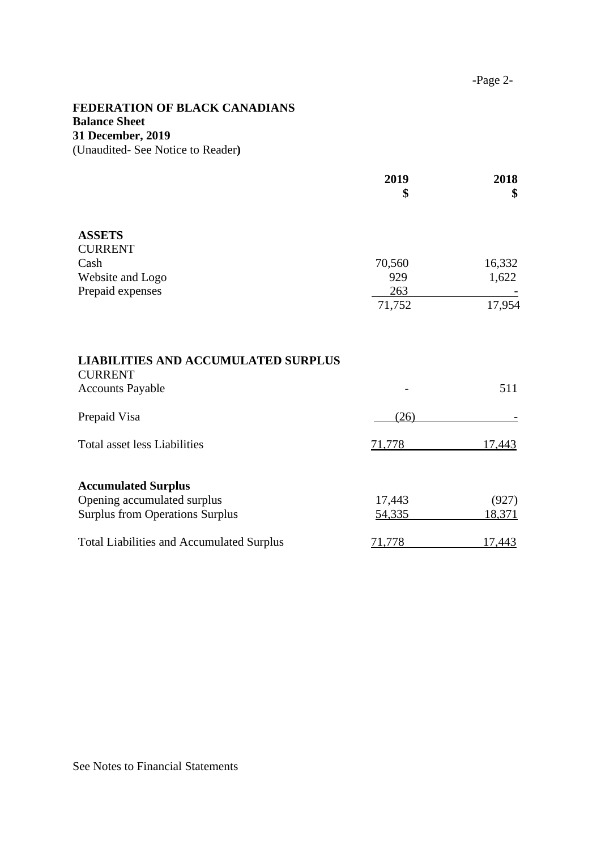# **FEDERATION OF BLACK CANADIANS Balance Sheet 31 December, 2019** (Unaudited- See Notice to Reader**)**

|                                                                                         | 2019<br>\$    | 2018<br>\$    |
|-----------------------------------------------------------------------------------------|---------------|---------------|
| <b>ASSETS</b>                                                                           |               |               |
| <b>CURRENT</b>                                                                          |               |               |
| Cash                                                                                    | 70,560        | 16,332        |
| Website and Logo                                                                        | 929           | 1,622         |
| Prepaid expenses                                                                        | 263<br>71,752 | 17,954        |
| <b>LIABILITIES AND ACCUMULATED SURPLUS</b><br><b>CURRENT</b><br><b>Accounts Payable</b> |               | 511           |
| Prepaid Visa                                                                            | (26)          |               |
| <b>Total asset less Liabilities</b>                                                     | 71,778        | 17,443        |
| <b>Accumulated Surplus</b>                                                              |               |               |
| Opening accumulated surplus                                                             | 17,443        | (927)         |
| <b>Surplus from Operations Surplus</b>                                                  | 54,335        | 18,371        |
| <b>Total Liabilities and Accumulated Surplus</b>                                        | 71,778        | <u>17,443</u> |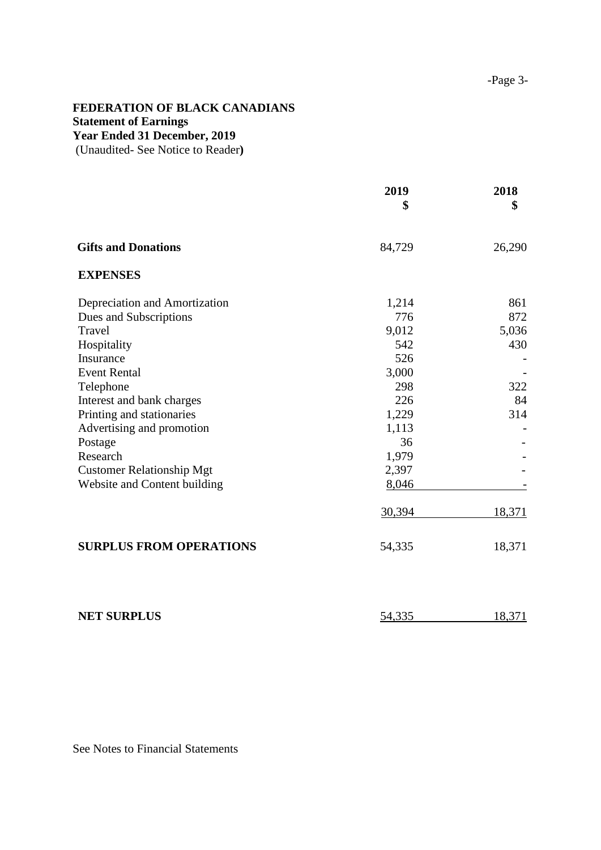### **FEDERATION OF BLACK CANADIANS Statement of Earnings Year Ended 31 December, 2019**

(Unaudited- See Notice to Reader**)**

|                                  | 2019<br>\$ | 2018<br>S |
|----------------------------------|------------|-----------|
| <b>Gifts and Donations</b>       | 84,729     | 26,290    |
| <b>EXPENSES</b>                  |            |           |
| Depreciation and Amortization    | 1,214      | 861       |
| Dues and Subscriptions           | 776        | 872       |
| Travel                           | 9,012      | 5,036     |
| Hospitality                      | 542        | 430       |
| Insurance                        | 526        |           |
| <b>Event Rental</b>              | 3,000      |           |
| Telephone                        | 298        | 322       |
| Interest and bank charges        | 226        | 84        |
| Printing and stationaries        | 1,229      | 314       |
| Advertising and promotion        | 1,113      |           |
| Postage                          | 36         |           |
| Research                         | 1,979      |           |
| <b>Customer Relationship Mgt</b> | 2,397      |           |
| Website and Content building     | 8,046      |           |
|                                  | 30,394     | 18,371    |
| <b>SURPLUS FROM OPERATIONS</b>   | 54,335     | 18,371    |
|                                  |            |           |
|                                  |            |           |

**NET SURPLUS** 54,335 18,371

See Notes to Financial Statements